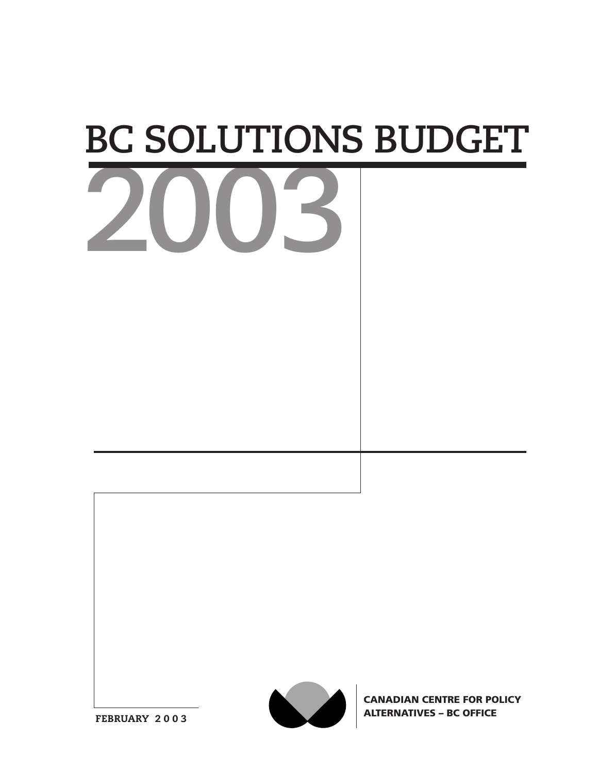# **2003 BC SOLUTIONS BUDGET**



**CANADIAN CENTRE FOR POLICY ALTERNATIVES – BC OFFICE**

**FEBRUARY 2003**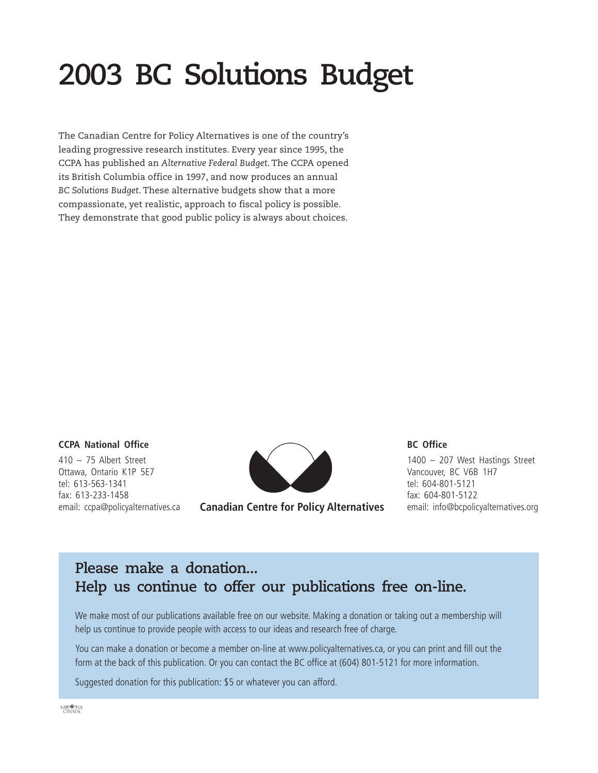### **2003 BC Solutions Budget**

The Canadian Centre for Policy Alternatives is one of the country's leading progressive research institutes. Every year since 1995, the CCPA has published an *Alternative Federal Budget*. The CCPA opened its British Columbia office in 1997, and now produces an annual *BC Solutions Budget*. These alternative budgets show that a more compassionate, yet realistic, approach to fiscal policy is possible. They demonstrate that good public policy is always about choices.

**CCPA National Office**

410 – 75 Albert Street Ottawa, Ontario K1P 5E7 tel: 613-563-1341 fax: 613-233-1458



email: ccpa@policyalternatives.ca **Canadian Centre for Policy Alternatives**

**BC Office**

1400 – 207 West Hastings Street Vancouver, BC V6B 1H7 tel: 604-801-5121 fax: 604-801-5122 email: info@bcpolicyalternatives.org

#### **Please make a donation... Help us continue to offer our publications free on-line.**

We make most of our publications available free on our website. Making a donation or taking out a membership will help us continue to provide people with access to our ideas and research free of charge.

You can make a donation or become a member on-line at www.policyalternatives.ca, or you can print and fill out the form at the back of this publication. Or you can contact the BC office at (604) 801-5121 for more information.

Suggested donation for this publication: \$5 or whatever you can afford.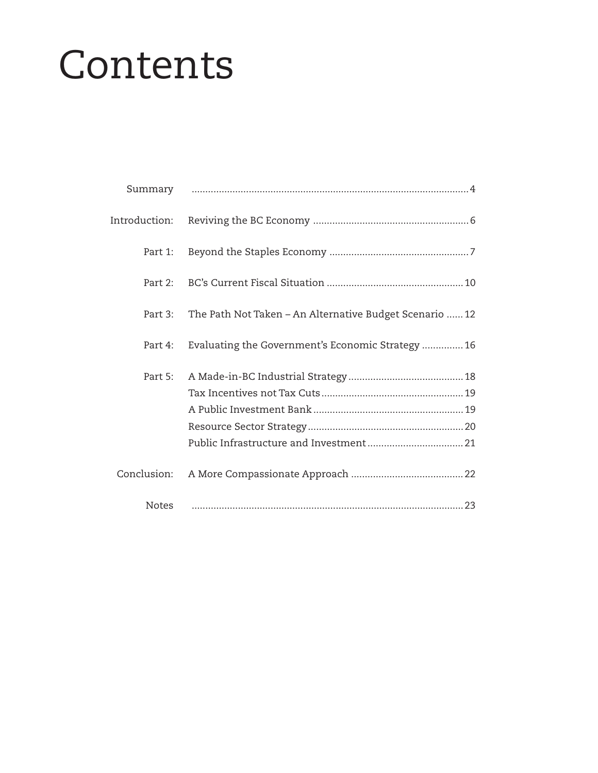# Contents

| Part 1:      |                                                         |
|--------------|---------------------------------------------------------|
| Part $2:$    |                                                         |
| Part 3:      | The Path Not Taken - An Alternative Budget Scenario  12 |
| Part 4:      | Evaluating the Government's Economic Strategy  16       |
| Part 5:      |                                                         |
| Conclusion:  |                                                         |
| <b>Notes</b> |                                                         |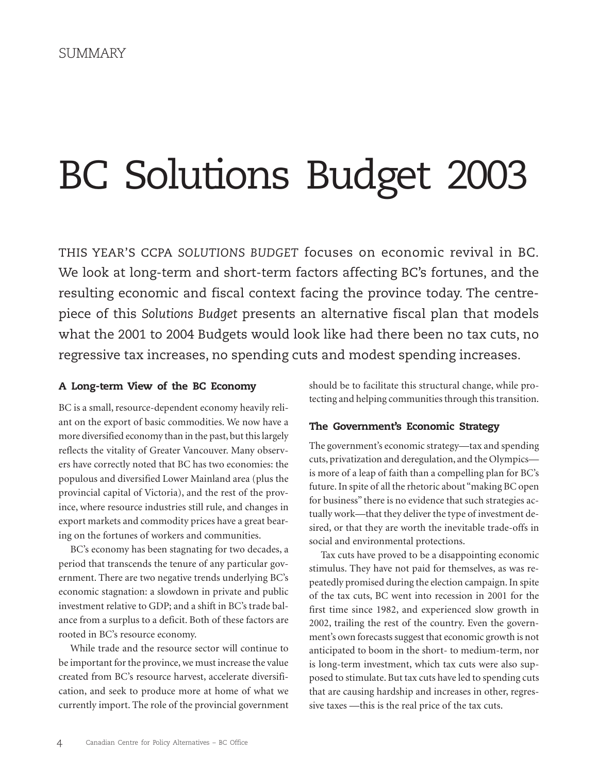# BC Solutions Budget 2003

THIS YEAR'S CCPA *SOLUTIONS BUDGET* focuses on economic revival in BC. We look at long-term and short-term factors affecting BC's fortunes, and the resulting economic and fiscal context facing the province today. The centrepiece of this *Solutions Budget* presents an alternative fiscal plan that models what the 2001 to 2004 Budgets would look like had there been no tax cuts, no regressive tax increases, no spending cuts and modest spending increases.

#### **A Long-term View of the BC Economy**

BC is a small, resource-dependent economy heavily reliant on the export of basic commodities. We now have a more diversified economy than in the past, but this largely reflects the vitality of Greater Vancouver. Many observers have correctly noted that BC has two economies: the populous and diversified Lower Mainland area (plus the provincial capital of Victoria), and the rest of the province, where resource industries still rule, and changes in export markets and commodity prices have a great bearing on the fortunes of workers and communities.

BC's economy has been stagnating for two decades, a period that transcends the tenure of any particular government. There are two negative trends underlying BC's economic stagnation: a slowdown in private and public investment relative to GDP; and a shift in BC's trade balance from a surplus to a deficit. Both of these factors are rooted in BC's resource economy.

While trade and the resource sector will continue to be important for the province, we must increase the value created from BC's resource harvest, accelerate diversification, and seek to produce more at home of what we currently import. The role of the provincial government should be to facilitate this structural change, while protecting and helping communities through this transition.

#### **The Government's Economic Strategy**

The government's economic strategy—tax and spending cuts, privatization and deregulation, and the Olympics is more of a leap of faith than a compelling plan for BC's future. In spite of all the rhetoric about "making BC open for business" there is no evidence that such strategies actually work—that they deliver the type of investment desired, or that they are worth the inevitable trade-offs in social and environmental protections.

Tax cuts have proved to be a disappointing economic stimulus. They have not paid for themselves, as was repeatedly promised during the election campaign. In spite of the tax cuts, BC went into recession in 2001 for the first time since 1982, and experienced slow growth in 2002, trailing the rest of the country. Even the government's own forecasts suggest that economic growth is not anticipated to boom in the short- to medium-term, nor is long-term investment, which tax cuts were also supposed to stimulate. But tax cuts have led to spending cuts that are causing hardship and increases in other, regressive taxes —this is the real price of the tax cuts.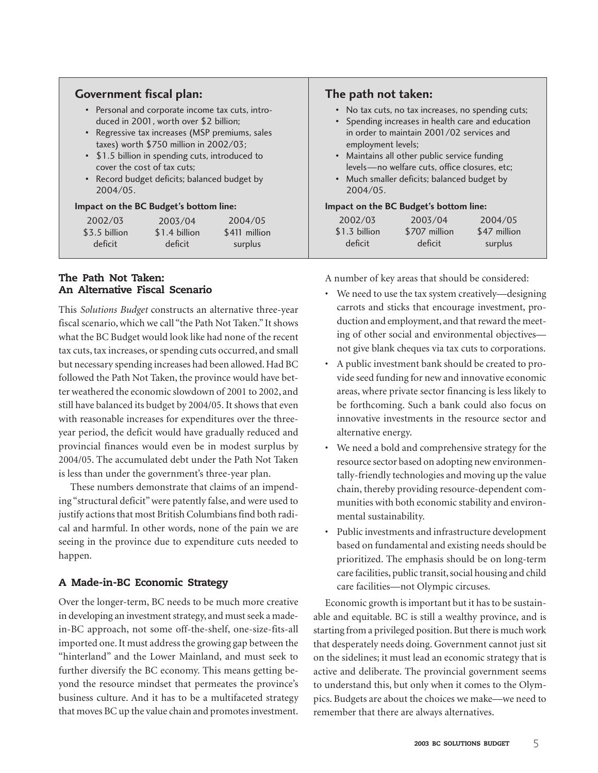|                                                                                                                                                                                                                                                                                                                                       | <b>Government fiscal plan:</b> |                                        | The path not taken:            |                                                                                                                                                                                                                                                                                                      |         |  |  |
|---------------------------------------------------------------------------------------------------------------------------------------------------------------------------------------------------------------------------------------------------------------------------------------------------------------------------------------|--------------------------------|----------------------------------------|--------------------------------|------------------------------------------------------------------------------------------------------------------------------------------------------------------------------------------------------------------------------------------------------------------------------------------------------|---------|--|--|
| • Personal and corporate income tax cuts, intro-<br>duced in 2001, worth over \$2 billion;<br>• Regressive tax increases (MSP premiums, sales<br>taxes) worth \$750 million in 2002/03;<br>• \$1.5 billion in spending cuts, introduced to<br>cover the cost of tax cuts;<br>• Record budget deficits; balanced budget by<br>2004/05. |                                |                                        | employment levels;<br>2004/05. | • No tax cuts, no tax increases, no spending cuts;<br>• Spending increases in health care and education<br>in order to maintain 2001/02 services and<br>• Maintains all other public service funding<br>levels-no welfare cuts, office closures, etc;<br>• Much smaller deficits; balanced budget by |         |  |  |
| Impact on the BC Budget's bottom line:                                                                                                                                                                                                                                                                                                |                                | Impact on the BC Budget's bottom line: |                                |                                                                                                                                                                                                                                                                                                      |         |  |  |
|                                                                                                                                                                                                                                                                                                                                       | 2002/03<br>200z/04             | 2004/05                                | 2002/03                        | 2003/04                                                                                                                                                                                                                                                                                              | 2001/05 |  |  |

| 2002/03       | 2003/04       | 2004/05       |  |  |
|---------------|---------------|---------------|--|--|
| \$3.5 billion | \$1.4 billion | \$411 million |  |  |
| deficit       | deficit       | surplus       |  |  |

#### **The Path Not Taken: An Alternative Fiscal Scenario**

This *Solutions Budget* constructs an alternative three-year fiscal scenario, which we call "the Path Not Taken." It shows what the BC Budget would look like had none of the recent tax cuts, tax increases, or spending cuts occurred, and small but necessary spending increases had been allowed. Had BC followed the Path Not Taken, the province would have better weathered the economic slowdown of 2001 to 2002, and still have balanced its budget by 2004/05. It shows that even with reasonable increases for expenditures over the threeyear period, the deficit would have gradually reduced and provincial finances would even be in modest surplus by 2004/05. The accumulated debt under the Path Not Taken is less than under the government's three-year plan.

These numbers demonstrate that claims of an impending "structural deficit" were patently false, and were used to justify actions that most British Columbians find both radical and harmful. In other words, none of the pain we are seeing in the province due to expenditure cuts needed to happen.

#### **A Made-in-BC Economic Strategy**

Over the longer-term, BC needs to be much more creative in developing an investment strategy, and must seek a madein-BC approach, not some off-the-shelf, one-size-fits-all imported one. It must address the growing gap between the "hinterland" and the Lower Mainland, and must seek to further diversify the BC economy. This means getting beyond the resource mindset that permeates the province's business culture. And it has to be a multifaceted strategy that moves BC up the value chain and promotes investment.

- 
- 
- levels—no welfare cuts, office closures, etc;

| 2002/03       | 2003/04       | 2004/05      |
|---------------|---------------|--------------|
| \$1.3 billion | \$707 million | \$47 million |
| deficit       | deficit       | surplus      |

A number of key areas that should be considered:

- We need to use the tax system creatively—designing carrots and sticks that encourage investment, production and employment, and that reward the meeting of other social and environmental objectives not give blank cheques via tax cuts to corporations.
- A public investment bank should be created to provide seed funding for new and innovative economic areas, where private sector financing is less likely to be forthcoming. Such a bank could also focus on innovative investments in the resource sector and alternative energy.
- We need a bold and comprehensive strategy for the resource sector based on adopting new environmentally-friendly technologies and moving up the value chain, thereby providing resource-dependent communities with both economic stability and environmental sustainability.
- Public investments and infrastructure development based on fundamental and existing needs should be prioritized. The emphasis should be on long-term care facilities, public transit, social housing and child care facilities—not Olympic circuses.

Economic growth is important but it has to be sustainable and equitable. BC is still a wealthy province, and is starting from a privileged position. But there is much work that desperately needs doing. Government cannot just sit on the sidelines; it must lead an economic strategy that is active and deliberate. The provincial government seems to understand this, but only when it comes to the Olympics. Budgets are about the choices we make—we need to remember that there are always alternatives.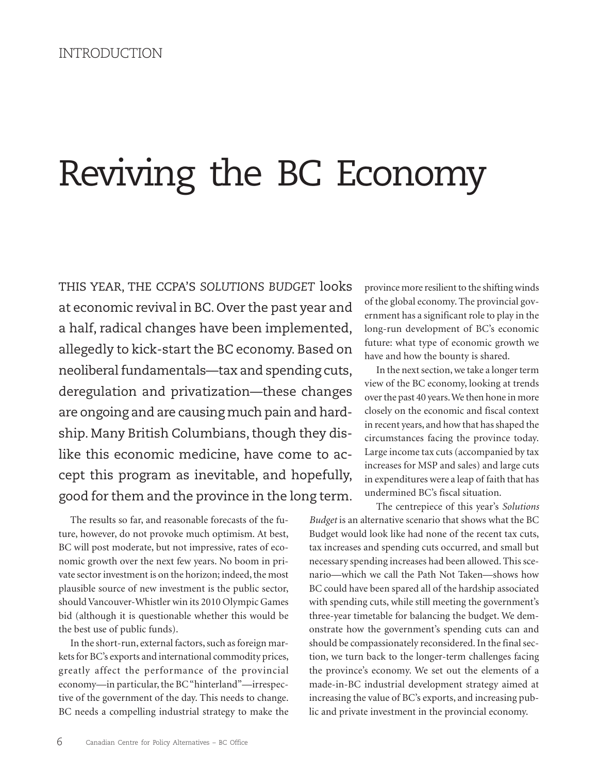### Reviving the BC Economy

THIS YEAR, THE CCPA'S *SOLUTIONS BUDGET* looks at economic revival in BC. Over the past year and a half, radical changes have been implemented, allegedly to kick-start the BC economy. Based on neoliberal fundamentals—tax and spending cuts, deregulation and privatization—these changes are ongoing and are causing much pain and hardship. Many British Columbians, though they dislike this economic medicine, have come to accept this program as inevitable, and hopefully, good for them and the province in the long term.

The results so far, and reasonable forecasts of the future, however, do not provoke much optimism. At best, BC will post moderate, but not impressive, rates of economic growth over the next few years. No boom in private sector investment is on the horizon; indeed, the most plausible source of new investment is the public sector, should Vancouver-Whistler win its 2010 Olympic Games bid (although it is questionable whether this would be the best use of public funds).

In the short-run, external factors, such as foreign markets for BC's exports and international commodity prices, greatly affect the performance of the provincial economy—in particular, the BC "hinterland"—irrespective of the government of the day. This needs to change. BC needs a compelling industrial strategy to make the province more resilient to the shifting winds of the global economy. The provincial government has a significant role to play in the long-run development of BC's economic future: what type of economic growth we have and how the bounty is shared.

In the next section, we take a longer term view of the BC economy, looking at trends over the past 40 years. We then hone in more closely on the economic and fiscal context in recent years, and how that has shaped the circumstances facing the province today. Large income tax cuts (accompanied by tax increases for MSP and sales) and large cuts in expenditures were a leap of faith that has undermined BC's fiscal situation.

The centrepiece of this year's *Solutions Budget* is an alternative scenario that shows what the BC Budget would look like had none of the recent tax cuts, tax increases and spending cuts occurred, and small but necessary spending increases had been allowed. This scenario—which we call the Path Not Taken—shows how BC could have been spared all of the hardship associated with spending cuts, while still meeting the government's three-year timetable for balancing the budget. We demonstrate how the government's spending cuts can and should be compassionately reconsidered. In the final section, we turn back to the longer-term challenges facing the province's economy. We set out the elements of a made-in-BC industrial development strategy aimed at increasing the value of BC's exports, and increasing public and private investment in the provincial economy.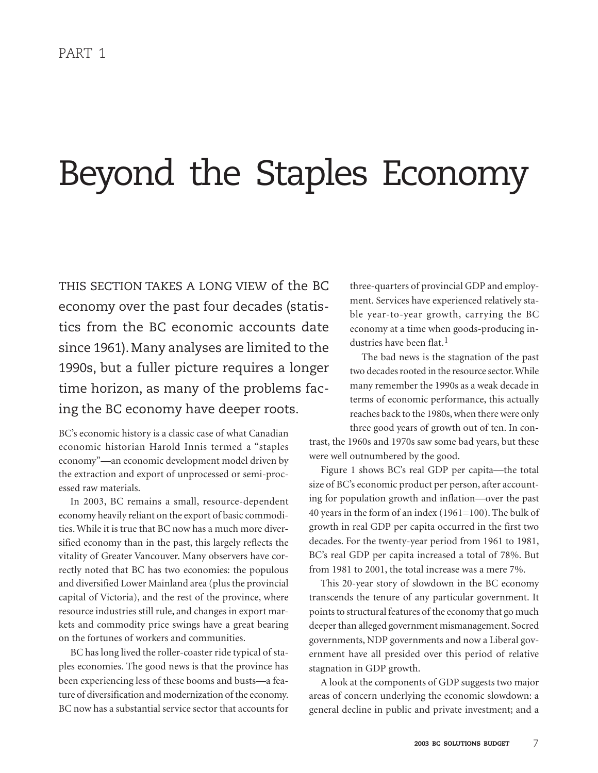### Beyond the Staples Economy

THIS SECTION TAKES A LONG VIEW of the BC economy over the past four decades (statistics from the BC economic accounts date since 1961). Many analyses are limited to the 1990s, but a fuller picture requires a longer time horizon, as many of the problems facing the BC economy have deeper roots.

BC's economic history is a classic case of what Canadian economic historian Harold Innis termed a "staples economy"—an economic development model driven by the extraction and export of unprocessed or semi-processed raw materials.

In 2003, BC remains a small, resource-dependent economy heavily reliant on the export of basic commodities. While it is true that BC now has a much more diversified economy than in the past, this largely reflects the vitality of Greater Vancouver. Many observers have correctly noted that BC has two economies: the populous and diversified Lower Mainland area (plus the provincial capital of Victoria), and the rest of the province, where resource industries still rule, and changes in export markets and commodity price swings have a great bearing on the fortunes of workers and communities.

BC has long lived the roller-coaster ride typical of staples economies. The good news is that the province has been experiencing less of these booms and busts—a feature of diversification and modernization of the economy. BC now has a substantial service sector that accounts for

three-quarters of provincial GDP and employment. Services have experienced relatively stable year-to-year growth, carrying the BC economy at a time when goods-producing industries have been flat.<sup>1</sup>

The bad news is the stagnation of the past two decades rooted in the resource sector. While many remember the 1990s as a weak decade in terms of economic performance, this actually reaches back to the 1980s, when there were only three good years of growth out of ten. In con-

trast, the 1960s and 1970s saw some bad years, but these were well outnumbered by the good.

Figure 1 shows BC's real GDP per capita—the total size of BC's economic product per person, after accounting for population growth and inflation—over the past 40 years in the form of an index (1961=100). The bulk of growth in real GDP per capita occurred in the first two decades. For the twenty-year period from 1961 to 1981, BC's real GDP per capita increased a total of 78%. But from 1981 to 2001, the total increase was a mere 7%.

This 20-year story of slowdown in the BC economy transcends the tenure of any particular government. It points to structural features of the economy that go much deeper than alleged government mismanagement. Socred governments, NDP governments and now a Liberal government have all presided over this period of relative stagnation in GDP growth.

A look at the components of GDP suggests two major areas of concern underlying the economic slowdown: a general decline in public and private investment; and a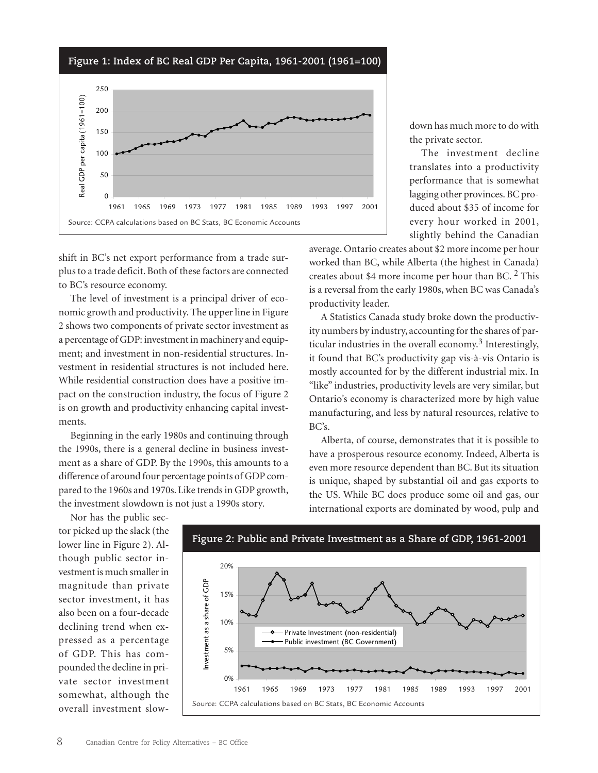

shift in BC's net export performance from a trade surplus to a trade deficit. Both of these factors are connected to BC's resource economy.

The level of investment is a principal driver of economic growth and productivity. The upper line in Figure 2 shows two components of private sector investment as a percentage of GDP: investment in machinery and equipment; and investment in non-residential structures. Investment in residential structures is not included here. While residential construction does have a positive impact on the construction industry, the focus of Figure 2 is on growth and productivity enhancing capital investments.

Beginning in the early 1980s and continuing through the 1990s, there is a general decline in business investment as a share of GDP. By the 1990s, this amounts to a difference of around four percentage points of GDP compared to the 1960s and 1970s. Like trends in GDP growth, the investment slowdown is not just a 1990s story.

down has much more to do with the private sector.

The investment decline translates into a productivity performance that is somewhat lagging other provinces. BC produced about \$35 of income for every hour worked in 2001, slightly behind the Canadian

average. Ontario creates about \$2 more income per hour worked than BC, while Alberta (the highest in Canada) creates about \$4 more income per hour than BC. 2 This is a reversal from the early 1980s, when BC was Canada's productivity leader.

A Statistics Canada study broke down the productivity numbers by industry, accounting for the shares of particular industries in the overall economy.3 Interestingly, it found that BC's productivity gap vis-à-vis Ontario is mostly accounted for by the different industrial mix. In "like" industries, productivity levels are very similar, but Ontario's economy is characterized more by high value manufacturing, and less by natural resources, relative to BC's.

Alberta, of course, demonstrates that it is possible to have a prosperous resource economy. Indeed, Alberta is even more resource dependent than BC. But its situation is unique, shaped by substantial oil and gas exports to the US. While BC does produce some oil and gas, our international exports are dominated by wood, pulp and

Nor has the public sector picked up the slack (the lower line in Figure 2). Although public sector investment is much smaller in magnitude than private sector investment, it has also been on a four-decade declining trend when expressed as a percentage of GDP. This has compounded the decline in private sector investment somewhat, although the overall investment slow-

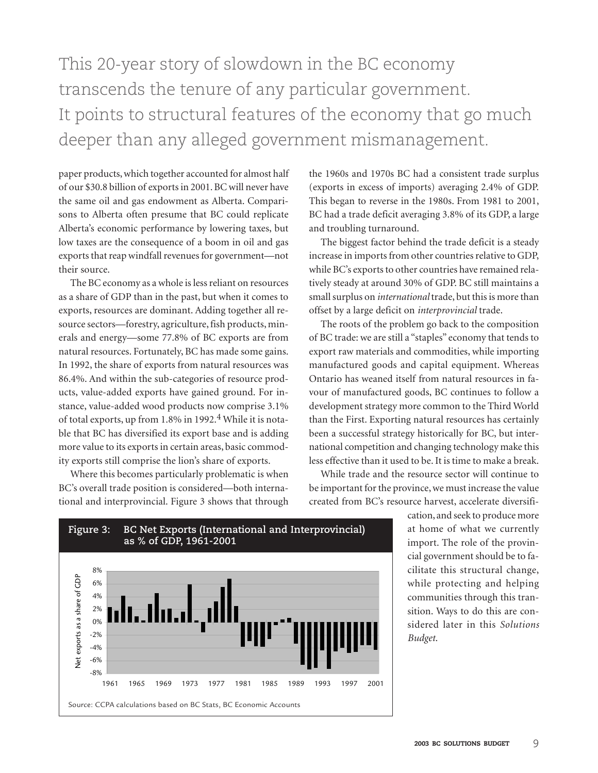### This 20-year story of slowdown in the BC economy transcends the tenure of any particular government. It points to structural features of the economy that go much deeper than any alleged government mismanagement.

paper products, which together accounted for almost half of our \$30.8 billion of exports in 2001. BC will never have the same oil and gas endowment as Alberta. Comparisons to Alberta often presume that BC could replicate Alberta's economic performance by lowering taxes, but low taxes are the consequence of a boom in oil and gas exports that reap windfall revenues for government—not their source.

The BC economy as a whole is less reliant on resources as a share of GDP than in the past, but when it comes to exports, resources are dominant. Adding together all resource sectors—forestry, agriculture, fish products, minerals and energy—some 77.8% of BC exports are from natural resources. Fortunately, BC has made some gains. In 1992, the share of exports from natural resources was 86.4%. And within the sub-categories of resource products, value-added exports have gained ground. For instance, value-added wood products now comprise 3.1% of total exports, up from  $1.8\%$  in 1992.<sup>4</sup> While it is notable that BC has diversified its export base and is adding more value to its exports in certain areas, basic commodity exports still comprise the lion's share of exports.

Where this becomes particularly problematic is when BC's overall trade position is considered—both international and interprovincial. Figure 3 shows that through the 1960s and 1970s BC had a consistent trade surplus (exports in excess of imports) averaging 2.4% of GDP. This began to reverse in the 1980s. From 1981 to 2001, BC had a trade deficit averaging 3.8% of its GDP, a large and troubling turnaround.

The biggest factor behind the trade deficit is a steady increase in imports from other countries relative to GDP, while BC's exports to other countries have remained relatively steady at around 30% of GDP. BC still maintains a small surplus on *international* trade, but this is more than offset by a large deficit on *interprovincial* trade.

The roots of the problem go back to the composition of BC trade: we are still a "staples" economy that tends to export raw materials and commodities, while importing manufactured goods and capital equipment. Whereas Ontario has weaned itself from natural resources in favour of manufactured goods, BC continues to follow a development strategy more common to the Third World than the First. Exporting natural resources has certainly been a successful strategy historically for BC, but international competition and changing technology make this less effective than it used to be. It is time to make a break.

While trade and the resource sector will continue to be important for the province, we must increase the value created from BC's resource harvest, accelerate diversifi-

> cation, and seek to produce more at home of what we currently import. The role of the provincial government should be to facilitate this structural change, while protecting and helping communities through this transition. Ways to do this are considered later in this *Solutions Budget*.

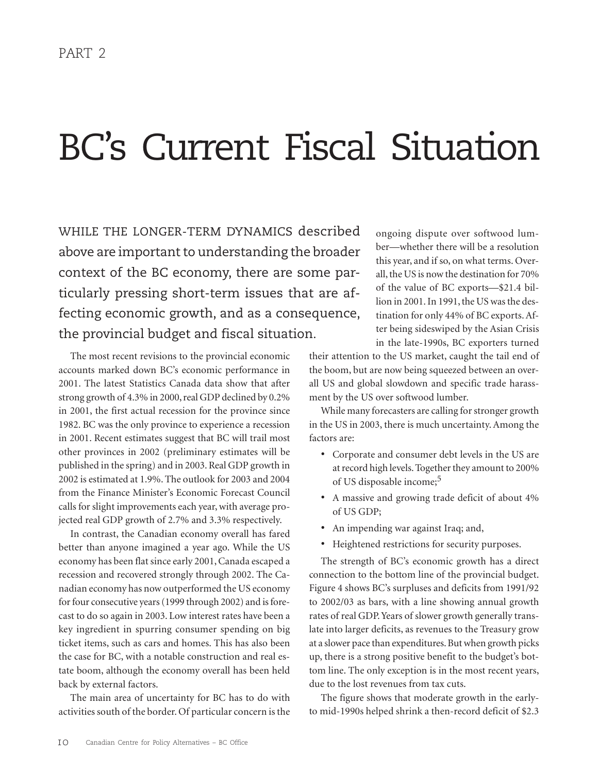### BC's Current Fiscal Situation

WHILE THE LONGER-TERM DYNAMICS described above are important to understanding the broader context of the BC economy, there are some particularly pressing short-term issues that are affecting economic growth, and as a consequence, the provincial budget and fiscal situation.

The most recent revisions to the provincial economic accounts marked down BC's economic performance in 2001. The latest Statistics Canada data show that after strong growth of 4.3% in 2000, real GDP declined by 0.2% in 2001, the first actual recession for the province since 1982. BC was the only province to experience a recession in 2001. Recent estimates suggest that BC will trail most other provinces in 2002 (preliminary estimates will be published in the spring) and in 2003. Real GDP growth in 2002 is estimated at 1.9%. The outlook for 2003 and 2004 from the Finance Minister's Economic Forecast Council calls for slight improvements each year, with average projected real GDP growth of 2.7% and 3.3% respectively.

In contrast, the Canadian economy overall has fared better than anyone imagined a year ago. While the US economy has been flat since early 2001, Canada escaped a recession and recovered strongly through 2002. The Canadian economy has now outperformed the US economy for four consecutive years (1999 through 2002) and is forecast to do so again in 2003. Low interest rates have been a key ingredient in spurring consumer spending on big ticket items, such as cars and homes. This has also been the case for BC, with a notable construction and real estate boom, although the economy overall has been held back by external factors.

The main area of uncertainty for BC has to do with activities south of the border. Of particular concern is the

ongoing dispute over softwood lumber—whether there will be a resolution this year, and if so, on what terms. Overall, the US is now the destination for 70% of the value of BC exports—\$21.4 billion in 2001. In 1991, the US was the destination for only 44% of BC exports. After being sideswiped by the Asian Crisis in the late-1990s, BC exporters turned

their attention to the US market, caught the tail end of the boom, but are now being squeezed between an overall US and global slowdown and specific trade harassment by the US over softwood lumber.

While many forecasters are calling for stronger growth in the US in 2003, there is much uncertainty. Among the factors are:

- Corporate and consumer debt levels in the US are at record high levels. Together they amount to 200% of US disposable income;<sup>5</sup>
- A massive and growing trade deficit of about 4% of US GDP;
- An impending war against Iraq; and,
- Heightened restrictions for security purposes.

The strength of BC's economic growth has a direct connection to the bottom line of the provincial budget. Figure 4 shows BC's surpluses and deficits from 1991/92 to 2002/03 as bars, with a line showing annual growth rates of real GDP. Years of slower growth generally translate into larger deficits, as revenues to the Treasury grow at a slower pace than expenditures. But when growth picks up, there is a strong positive benefit to the budget's bottom line. The only exception is in the most recent years, due to the lost revenues from tax cuts.

The figure shows that moderate growth in the earlyto mid-1990s helped shrink a then-record deficit of \$2.3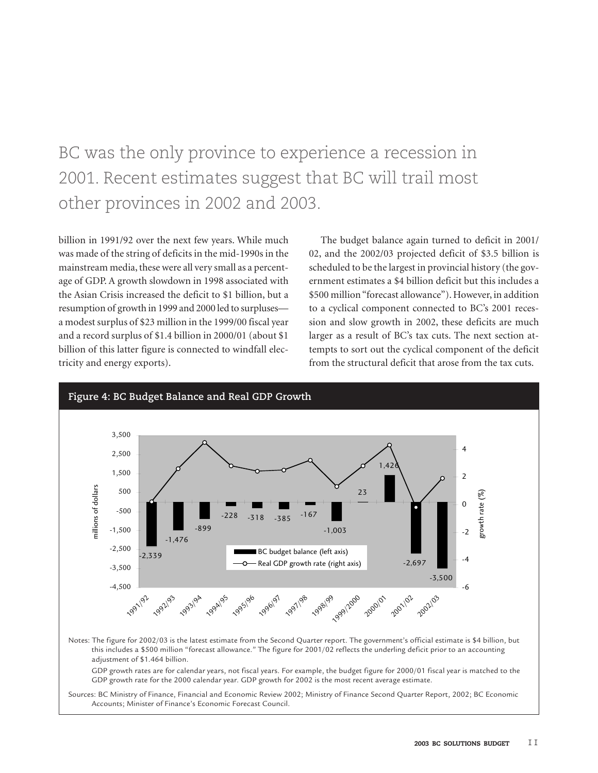### BC was the only province to experience a recession in 2001. Recent estimates suggest that BC will trail most other provinces in 2002 and 2003.

billion in 1991/92 over the next few years. While much was made of the string of deficits in the mid-1990s in the mainstream media, these were all very small as a percentage of GDP. A growth slowdown in 1998 associated with the Asian Crisis increased the deficit to \$1 billion, but a resumption of growth in 1999 and 2000 led to surpluses a modest surplus of \$23 million in the 1999/00 fiscal year and a record surplus of \$1.4 billion in 2000/01 (about \$1 billion of this latter figure is connected to windfall electricity and energy exports).

The budget balance again turned to deficit in 2001/ 02, and the 2002/03 projected deficit of \$3.5 billion is scheduled to be the largest in provincial history (the government estimates a \$4 billion deficit but this includes a \$500 million "forecast allowance"). However, in addition to a cyclical component connected to BC's 2001 recession and slow growth in 2002, these deficits are much larger as a result of BC's tax cuts. The next section attempts to sort out the cyclical component of the deficit from the structural deficit that arose from the tax cuts.



Sources: BC Ministry of Finance, Financial and Economic Review 2002; Ministry of Finance Second Quarter Report, 2002; BC Economic Accounts; Minister of Finance's Economic Forecast Council.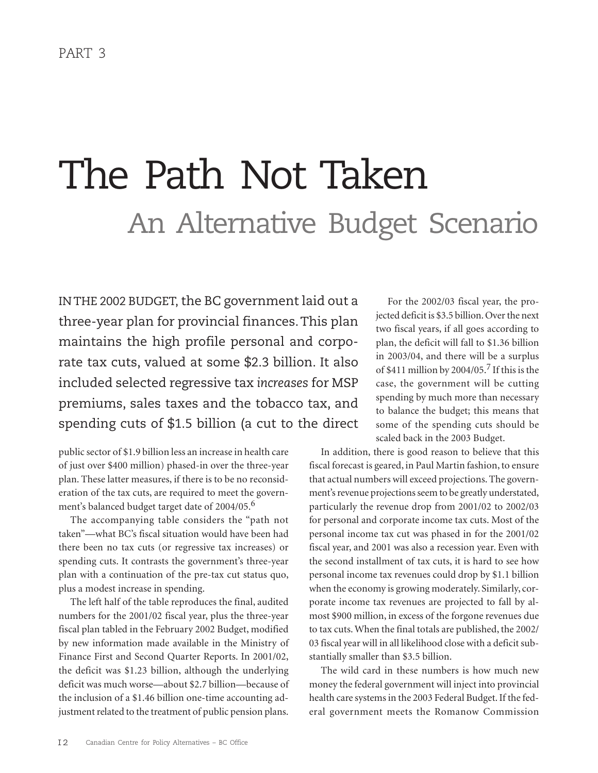## The Path Not Taken An Alternative Budget Scenario

IN THE 2002 BUDGET, the BC government laid out a three-year plan for provincial finances. This plan maintains the high profile personal and corporate tax cuts, valued at some \$2.3 billion. It also included selected regressive tax *increases* for MSP premiums, sales taxes and the tobacco tax, and spending cuts of \$1.5 billion (a cut to the direct

public sector of \$1.9 billion less an increase in health care of just over \$400 million) phased-in over the three-year plan. These latter measures, if there is to be no reconsideration of the tax cuts, are required to meet the government's balanced budget target date of 2004/05.<sup>6</sup>

The accompanying table considers the "path not taken"—what BC's fiscal situation would have been had there been no tax cuts (or regressive tax increases) or spending cuts. It contrasts the government's three-year plan with a continuation of the pre-tax cut status quo, plus a modest increase in spending.

The left half of the table reproduces the final, audited numbers for the 2001/02 fiscal year, plus the three-year fiscal plan tabled in the February 2002 Budget, modified by new information made available in the Ministry of Finance First and Second Quarter Reports. In 2001/02, the deficit was \$1.23 billion, although the underlying deficit was much worse—about \$2.7 billion—because of the inclusion of a \$1.46 billion one-time accounting adjustment related to the treatment of public pension plans.

For the 2002/03 fiscal year, the projected deficit is \$3.5 billion. Over the next two fiscal years, if all goes according to plan, the deficit will fall to \$1.36 billion in 2003/04, and there will be a surplus of \$411 million by 2004/05.<sup>7</sup> If this is the case, the government will be cutting spending by much more than necessary to balance the budget; this means that some of the spending cuts should be scaled back in the 2003 Budget.

In addition, there is good reason to believe that this fiscal forecast is geared, in Paul Martin fashion, to ensure that actual numbers will exceed projections. The government's revenue projections seem to be greatly understated, particularly the revenue drop from 2001/02 to 2002/03 for personal and corporate income tax cuts. Most of the personal income tax cut was phased in for the 2001/02 fiscal year, and 2001 was also a recession year. Even with the second installment of tax cuts, it is hard to see how personal income tax revenues could drop by \$1.1 billion when the economy is growing moderately. Similarly, corporate income tax revenues are projected to fall by almost \$900 million, in excess of the forgone revenues due to tax cuts. When the final totals are published, the 2002/ 03 fiscal year will in all likelihood close with a deficit substantially smaller than \$3.5 billion.

The wild card in these numbers is how much new money the federal government will inject into provincial health care systems in the 2003 Federal Budget. If the federal government meets the Romanow Commission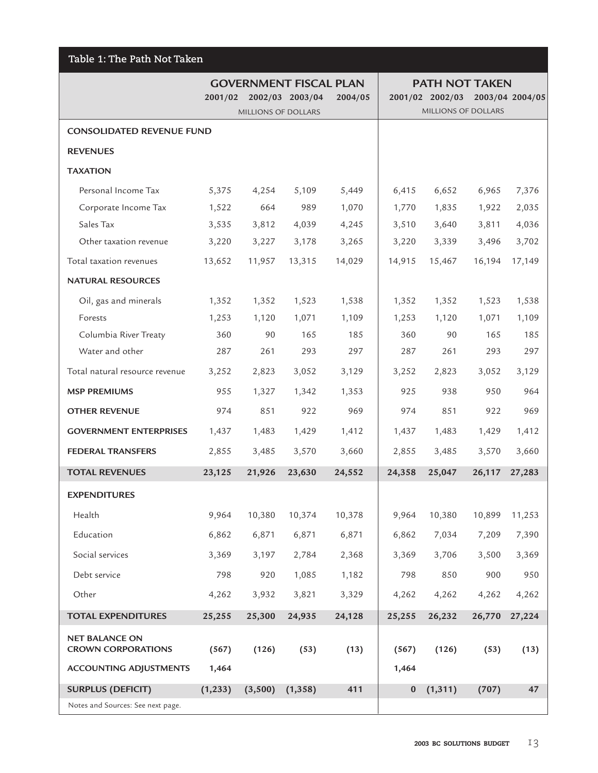| Table 1: The Path Not Taken       |                               |                     |                 |                       |        |                     |        |                 |
|-----------------------------------|-------------------------------|---------------------|-----------------|-----------------------|--------|---------------------|--------|-----------------|
|                                   | <b>GOVERNMENT FISCAL PLAN</b> |                     |                 | <b>PATH NOT TAKEN</b> |        |                     |        |                 |
|                                   | 2001/02                       |                     | 2002/03 2003/04 | 2004/05               |        | 2001/02 2002/03     |        | 2003/04 2004/05 |
|                                   |                               | MILLIONS OF DOLLARS |                 |                       |        | MILLIONS OF DOLLARS |        |                 |
| <b>CONSOLIDATED REVENUE FUND</b>  |                               |                     |                 |                       |        |                     |        |                 |
| <b>REVENUES</b>                   |                               |                     |                 |                       |        |                     |        |                 |
| <b>TAXATION</b>                   |                               |                     |                 |                       |        |                     |        |                 |
| Personal Income Tax               | 5,375                         | 4,254               | 5,109           | 5,449                 | 6,415  | 6,652               | 6,965  | 7,376           |
| Corporate Income Tax              | 1,522                         | 664                 | 989             | 1,070                 | 1,770  | 1,835               | 1,922  | 2,035           |
| Sales Tax                         | 3,535                         | 3,812               | 4,039           | 4,245                 | 3,510  | 3,640               | 3,811  | 4,036           |
| Other taxation revenue            | 3,220                         | 3,227               | 3,178           | 3,265                 | 3,220  | 3,339               | 3,496  | 3,702           |
| Total taxation revenues           | 13,652                        | 11,957              | 13,315          | 14,029                | 14,915 | 15,467              | 16,194 | 17,149          |
| <b>NATURAL RESOURCES</b>          |                               |                     |                 |                       |        |                     |        |                 |
| Oil, gas and minerals             | 1,352                         | 1,352               | 1,523           | 1,538                 | 1,352  | 1,352               | 1,523  | 1,538           |
| Forests                           | 1,253                         | 1,120               | 1,071           | 1,109                 | 1,253  | 1,120               | 1,071  | 1,109           |
| Columbia River Treaty             | 360                           | 90                  | 165             | 185                   | 360    | 90                  | 165    | 185             |
| Water and other                   | 287                           | 261                 | 293             | 297                   | 287    | 261                 | 293    | 297             |
| Total natural resource revenue    | 3,252                         | 2,823               | 3,052           | 3,129                 | 3,252  | 2,823               | 3,052  | 3,129           |
| <b>MSP PREMIUMS</b>               | 955                           | 1,327               | 1,342           | 1,353                 | 925    | 938                 | 950    | 964             |
| <b>OTHER REVENUE</b>              | 974                           | 851                 | 922             | 969                   | 974    | 851                 | 922    | 969             |
| <b>GOVERNMENT ENTERPRISES</b>     | 1,437                         | 1,483               | 1,429           | 1,412                 | 1,437  | 1,483               | 1,429  | 1,412           |
| <b>FEDERAL TRANSFERS</b>          | 2,855                         | 3,485               | 3,570           | 3,660                 | 2,855  | 3,485               | 3,570  | 3,660           |
| <b>TOTAL REVENUES</b>             | 23,125                        | 21,926              | 23,630          | 24,552                | 24,358 | 25,047              | 26,117 | 27,283          |
| <b>EXPENDITURES</b>               |                               |                     |                 |                       |        |                     |        |                 |
| Health                            | 9,964                         | 10,380              | 10,374          | 10,378                | 9,964  | 10,380              | 10,899 | 11,253          |
| Education                         | 6,862                         | 6,871               | 6,871           | 6,871                 | 6,862  | 7,034               | 7,209  | 7,390           |
| Social services                   | 3,369                         | 3,197               | 2,784           | 2,368                 | 3,369  | 3,706               | 3,500  | 3,369           |
| Debt service                      | 798                           | 920                 | 1,085           | 1,182                 | 798    | 850                 | 900    | 950             |
| Other                             | 4,262                         | 3,932               | 3,821           | 3,329                 | 4,262  | 4,262               | 4,262  | 4,262           |
| <b>TOTAL EXPENDITURES</b>         | 25,255                        | 25,300              | 24,935          | 24,128                | 25,255 | 26,232              | 26,770 | 27,224          |
| <b>NET BALANCE ON</b>             |                               |                     |                 |                       |        |                     |        |                 |
| <b>CROWN CORPORATIONS</b>         | (567)                         | (126)               | (53)            | (13)                  | (567)  | (126)               | (53)   | (13)            |
| <b>ACCOUNTING ADJUSTMENTS</b>     | 1,464                         |                     |                 |                       | 1,464  |                     |        |                 |
| <b>SURPLUS (DEFICIT)</b>          | (1, 233)                      | (3,500)             | (1, 358)        | 411                   | 0      | (1, 311)            | (707)  | 47              |
| Notes and Sources: See next page. |                               |                     |                 |                       |        |                     |        |                 |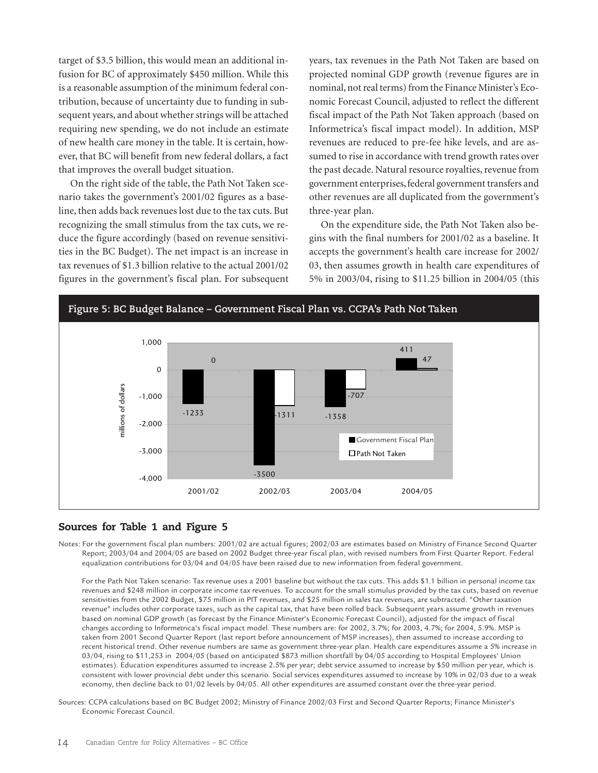target of \$3.5 billion, this would mean an additional infusion for BC of approximately \$450 million. While this is a reasonable assumption of the minimum federal contribution, because of uncertainty due to funding in subsequent years, and about whether strings will be attached requiring new spending, we do not include an estimate of new health care money in the table. It is certain, however, that BC will benefit from new federal dollars, a fact that improves the overall budget situation.

On the right side of the table, the Path Not Taken scenario takes the government's 2001/02 figures as a baseline, then adds back revenues lost due to the tax cuts. But recognizing the small stimulus from the tax cuts, we reduce the figure accordingly (based on revenue sensitivities in the BC Budget). The net impact is an increase in tax revenues of \$1.3 billion relative to the actual 2001/02 figures in the government's fiscal plan. For subsequent years, tax revenues in the Path Not Taken are based on projected nominal GDP growth (revenue figures are in nominal, not real terms) from the Finance Minister's Economic Forecast Council, adjusted to reflect the different fiscal impact of the Path Not Taken approach (based on Informetrica's fiscal impact model). In addition, MSP revenues are reduced to pre-fee hike levels, and are assumed to rise in accordance with trend growth rates over the past decade. Natural resource royalties, revenue from government enterprises, federal government transfers and other revenues are all duplicated from the government's three-year plan.

On the expenditure side, the Path Not Taken also begins with the final numbers for 2001/02 as a baseline. It accepts the government's health care increase for 2002/ 03, then assumes growth in health care expenditures of 5% in 2003/04, rising to \$11.25 billion in 2004/05 (this



#### **Sources for Table 1 and Figure 5**

Notes: For the government fiscal plan numbers: 2001/02 are actual figures; 2002/03 are estimates based on Ministry of Finance Second Quarter Report; 2003/04 and 2004/05 are based on 2002 Budget three-year fiscal plan, with revised numbers from First Quarter Report. Federal equalization contributions for 03/04 and 04/05 have been raised due to new information from federal government.

For the Path Not Taken scenario: Tax revenue uses a 2001 baseline but without the tax cuts. This adds \$1.1 billion in personal income tax revenues and \$248 million in corporate income tax revenues. To account for the small stimulus provided by the tax cuts, based on revenue sensitivities from the 2002 Budget, \$75 million in PIT revenues, and \$25 million in sales tax revenues, are subtracted. "Other taxation revenue" includes other corporate taxes, such as the capital tax, that have been rolled back. Subsequent years assume growth in revenues based on nominal GDP growth (as forecast by the Finance Minister's Economic Forecast Council), adjusted for the impact of fiscal changes according to Informetrica's fiscal impact model. These numbers are: for 2002, 3.7%; for 2003, 4.7%; for 2004, 5.9%. MSP is taken from 2001 Second Quarter Report (last report before announcement of MSP increases), then assumed to increase according to recent historical trend. Other revenue numbers are same as government three-year plan. Health care expenditures assume a 5% increase in 03/04, rising to \$11,253 in 2004/05 (based on anticipated \$873 million shortfall by 04/05 according to Hospital Employees' Union estimates). Education expenditures assumed to increase 2.5% per year; debt service assumed to increase by \$50 million per year, which is consistent with lower provincial debt under this scenario. Social services expenditures assumed to increase by 10% in 02/03 due to a weak economy, then decline back to 01/02 levels by 04/05. All other expenditures are assumed constant over the three-year period.

Sources: CCPA calculations based on BC Budget 2002; Ministry of Finance 2002/03 First and Second Quarter Reports; Finance Minister's Economic Forecast Council.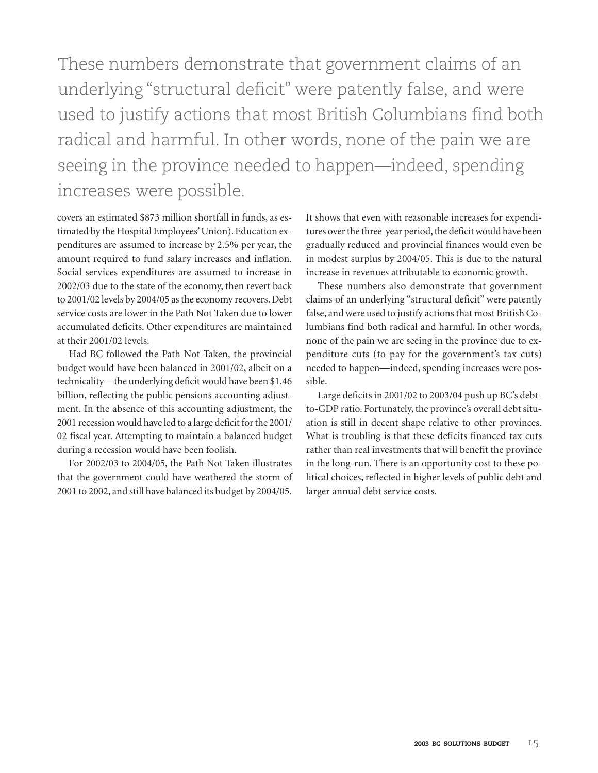These numbers demonstrate that government claims of an underlying "structural deficit" were patently false, and were used to justify actions that most British Columbians find both radical and harmful. In other words, none of the pain we are seeing in the province needed to happen—indeed, spending increases were possible.

covers an estimated \$873 million shortfall in funds, as estimated by the Hospital Employees' Union). Education expenditures are assumed to increase by 2.5% per year, the amount required to fund salary increases and inflation. Social services expenditures are assumed to increase in 2002/03 due to the state of the economy, then revert back to 2001/02 levels by 2004/05 as the economy recovers. Debt service costs are lower in the Path Not Taken due to lower accumulated deficits. Other expenditures are maintained at their 2001/02 levels.

Had BC followed the Path Not Taken, the provincial budget would have been balanced in 2001/02, albeit on a technicality—the underlying deficit would have been \$1.46 billion, reflecting the public pensions accounting adjustment. In the absence of this accounting adjustment, the 2001 recession would have led to a large deficit for the 2001/ 02 fiscal year. Attempting to maintain a balanced budget during a recession would have been foolish.

For 2002/03 to 2004/05, the Path Not Taken illustrates that the government could have weathered the storm of 2001 to 2002, and still have balanced its budget by 2004/05. It shows that even with reasonable increases for expenditures over the three-year period, the deficit would have been gradually reduced and provincial finances would even be in modest surplus by 2004/05. This is due to the natural increase in revenues attributable to economic growth.

These numbers also demonstrate that government claims of an underlying "structural deficit" were patently false, and were used to justify actions that most British Columbians find both radical and harmful. In other words, none of the pain we are seeing in the province due to expenditure cuts (to pay for the government's tax cuts) needed to happen—indeed, spending increases were possible.

Large deficits in 2001/02 to 2003/04 push up BC's debtto-GDP ratio. Fortunately, the province's overall debt situation is still in decent shape relative to other provinces. What is troubling is that these deficits financed tax cuts rather than real investments that will benefit the province in the long-run. There is an opportunity cost to these political choices, reflected in higher levels of public debt and larger annual debt service costs.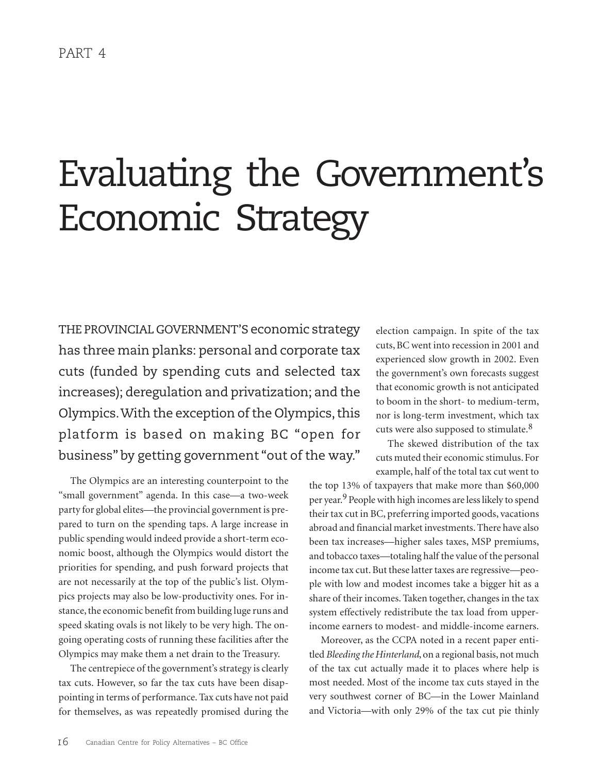## Evaluating the Government's Economic Strategy

THE PROVINCIAL GOVERNMENT'S economic strategy has three main planks: personal and corporate tax cuts (funded by spending cuts and selected tax increases); deregulation and privatization; and the Olympics. With the exception of the Olympics, this platform is based on making BC "open for business" by getting government "out of the way."

The Olympics are an interesting counterpoint to the "small government" agenda. In this case—a two-week party for global elites—the provincial government is prepared to turn on the spending taps. A large increase in public spending would indeed provide a short-term economic boost, although the Olympics would distort the priorities for spending, and push forward projects that are not necessarily at the top of the public's list. Olympics projects may also be low-productivity ones. For instance, the economic benefit from building luge runs and speed skating ovals is not likely to be very high. The ongoing operating costs of running these facilities after the Olympics may make them a net drain to the Treasury.

The centrepiece of the government's strategy is clearly tax cuts. However, so far the tax cuts have been disappointing in terms of performance. Tax cuts have not paid for themselves, as was repeatedly promised during the election campaign. In spite of the tax cuts, BC went into recession in 2001 and experienced slow growth in 2002. Even the government's own forecasts suggest that economic growth is not anticipated to boom in the short- to medium-term, nor is long-term investment, which tax cuts were also supposed to stimulate.<sup>8</sup>

The skewed distribution of the tax cuts muted their economic stimulus. For example, half of the total tax cut went to

the top 13% of taxpayers that make more than \$60,000 per year.9 People with high incomes are less likely to spend their tax cut in BC, preferring imported goods, vacations abroad and financial market investments. There have also been tax increases—higher sales taxes, MSP premiums, and tobacco taxes—totaling half the value of the personal income tax cut. But these latter taxes are regressive—people with low and modest incomes take a bigger hit as a share of their incomes. Taken together, changes in the tax system effectively redistribute the tax load from upperincome earners to modest- and middle-income earners.

Moreover, as the CCPA noted in a recent paper entitled *Bleeding the Hinterland*, on a regional basis, not much of the tax cut actually made it to places where help is most needed. Most of the income tax cuts stayed in the very southwest corner of BC—in the Lower Mainland and Victoria—with only 29% of the tax cut pie thinly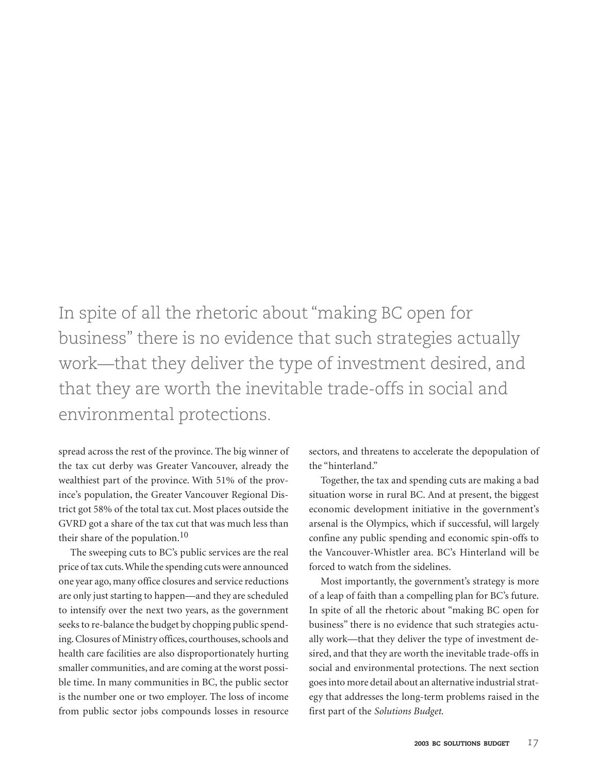In spite of all the rhetoric about "making BC open for business" there is no evidence that such strategies actually work—that they deliver the type of investment desired, and that they are worth the inevitable trade-offs in social and environmental protections.

spread across the rest of the province. The big winner of the tax cut derby was Greater Vancouver, already the wealthiest part of the province. With 51% of the province's population, the Greater Vancouver Regional District got 58% of the total tax cut. Most places outside the GVRD got a share of the tax cut that was much less than their share of the population.<sup>10</sup>

The sweeping cuts to BC's public services are the real price of tax cuts. While the spending cuts were announced one year ago, many office closures and service reductions are only just starting to happen—and they are scheduled to intensify over the next two years, as the government seeks to re-balance the budget by chopping public spending. Closures of Ministry offices, courthouses, schools and health care facilities are also disproportionately hurting smaller communities, and are coming at the worst possible time. In many communities in BC, the public sector is the number one or two employer. The loss of income from public sector jobs compounds losses in resource sectors, and threatens to accelerate the depopulation of the "hinterland."

Together, the tax and spending cuts are making a bad situation worse in rural BC. And at present, the biggest economic development initiative in the government's arsenal is the Olympics, which if successful, will largely confine any public spending and economic spin-offs to the Vancouver-Whistler area. BC's Hinterland will be forced to watch from the sidelines.

Most importantly, the government's strategy is more of a leap of faith than a compelling plan for BC's future. In spite of all the rhetoric about "making BC open for business" there is no evidence that such strategies actually work—that they deliver the type of investment desired, and that they are worth the inevitable trade-offs in social and environmental protections. The next section goes into more detail about an alternative industrial strategy that addresses the long-term problems raised in the first part of the *Solutions Budget*.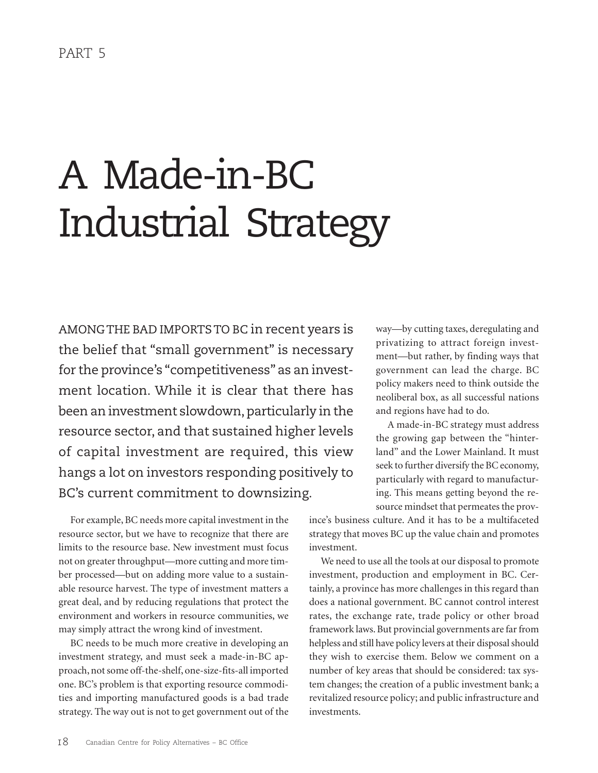# A Made-in-BC Industrial Strategy

AMONG THE BAD IMPORTS TO BC in recent years is the belief that "small government" is necessary for the province's "competitiveness" as an investment location. While it is clear that there has been an investment slowdown, particularly in the resource sector, and that sustained higher levels of capital investment are required, this view hangs a lot on investors responding positively to BC's current commitment to downsizing.

For example, BC needs more capital investment in the resource sector, but we have to recognize that there are limits to the resource base. New investment must focus not on greater throughput—more cutting and more timber processed—but on adding more value to a sustainable resource harvest. The type of investment matters a great deal, and by reducing regulations that protect the environment and workers in resource communities, we may simply attract the wrong kind of investment.

BC needs to be much more creative in developing an investment strategy, and must seek a made-in-BC approach, not some off-the-shelf, one-size-fits-all imported one. BC's problem is that exporting resource commodities and importing manufactured goods is a bad trade strategy. The way out is not to get government out of the way—by cutting taxes, deregulating and privatizing to attract foreign investment—but rather, by finding ways that government can lead the charge. BC policy makers need to think outside the neoliberal box, as all successful nations and regions have had to do.

A made-in-BC strategy must address the growing gap between the "hinterland" and the Lower Mainland. It must seek to further diversify the BC economy, particularly with regard to manufacturing. This means getting beyond the resource mindset that permeates the prov-

ince's business culture. And it has to be a multifaceted strategy that moves BC up the value chain and promotes investment.

We need to use all the tools at our disposal to promote investment, production and employment in BC. Certainly, a province has more challenges in this regard than does a national government. BC cannot control interest rates, the exchange rate, trade policy or other broad framework laws. But provincial governments are far from helpless and still have policy levers at their disposal should they wish to exercise them. Below we comment on a number of key areas that should be considered: tax system changes; the creation of a public investment bank; a revitalized resource policy; and public infrastructure and investments.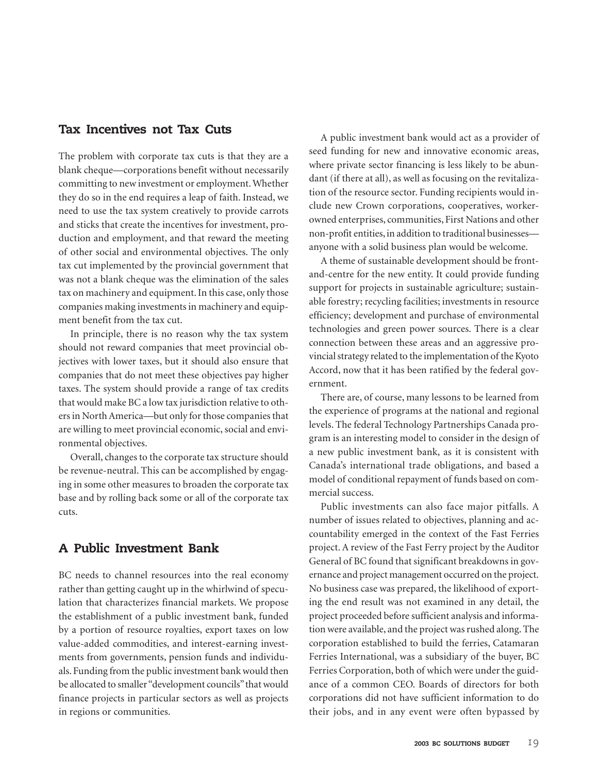#### **Tax Incentives not Tax Cuts**

The problem with corporate tax cuts is that they are a blank cheque—corporations benefit without necessarily committing to new investment or employment. Whether they do so in the end requires a leap of faith. Instead, we need to use the tax system creatively to provide carrots and sticks that create the incentives for investment, production and employment, and that reward the meeting of other social and environmental objectives. The only tax cut implemented by the provincial government that was not a blank cheque was the elimination of the sales tax on machinery and equipment. In this case, only those companies making investments in machinery and equipment benefit from the tax cut.

In principle, there is no reason why the tax system should not reward companies that meet provincial objectives with lower taxes, but it should also ensure that companies that do not meet these objectives pay higher taxes. The system should provide a range of tax credits that would make BC a low tax jurisdiction relative to others in North America—but only for those companies that are willing to meet provincial economic, social and environmental objectives.

Overall, changes to the corporate tax structure should be revenue-neutral. This can be accomplished by engaging in some other measures to broaden the corporate tax base and by rolling back some or all of the corporate tax cuts.

#### **A Public Investment Bank**

BC needs to channel resources into the real economy rather than getting caught up in the whirlwind of speculation that characterizes financial markets. We propose the establishment of a public investment bank, funded by a portion of resource royalties, export taxes on low value-added commodities, and interest-earning investments from governments, pension funds and individuals. Funding from the public investment bank would then be allocated to smaller "development councils" that would finance projects in particular sectors as well as projects in regions or communities.

A public investment bank would act as a provider of seed funding for new and innovative economic areas, where private sector financing is less likely to be abundant (if there at all), as well as focusing on the revitalization of the resource sector. Funding recipients would include new Crown corporations, cooperatives, workerowned enterprises, communities, First Nations and other non-profit entities, in addition to traditional businesses anyone with a solid business plan would be welcome.

A theme of sustainable development should be frontand-centre for the new entity. It could provide funding support for projects in sustainable agriculture; sustainable forestry; recycling facilities; investments in resource efficiency; development and purchase of environmental technologies and green power sources. There is a clear connection between these areas and an aggressive provincial strategy related to the implementation of the Kyoto Accord, now that it has been ratified by the federal government.

There are, of course, many lessons to be learned from the experience of programs at the national and regional levels. The federal Technology Partnerships Canada program is an interesting model to consider in the design of a new public investment bank, as it is consistent with Canada's international trade obligations, and based a model of conditional repayment of funds based on commercial success.

Public investments can also face major pitfalls. A number of issues related to objectives, planning and accountability emerged in the context of the Fast Ferries project. A review of the Fast Ferry project by the Auditor General of BC found that significant breakdowns in governance and project management occurred on the project. No business case was prepared, the likelihood of exporting the end result was not examined in any detail, the project proceeded before sufficient analysis and information were available, and the project was rushed along. The corporation established to build the ferries, Catamaran Ferries International, was a subsidiary of the buyer, BC Ferries Corporation, both of which were under the guidance of a common CEO. Boards of directors for both corporations did not have sufficient information to do their jobs, and in any event were often bypassed by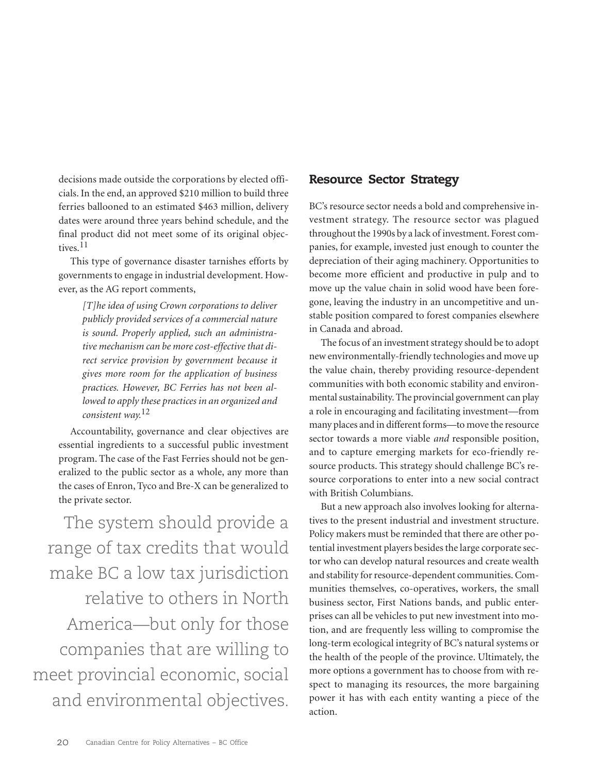decisions made outside the corporations by elected officials. In the end, an approved \$210 million to build three ferries ballooned to an estimated \$463 million, delivery dates were around three years behind schedule, and the final product did not meet some of its original objectives.11

This type of governance disaster tarnishes efforts by governments to engage in industrial development. However, as the AG report comments,

> *[T]he idea of using Crown corporations to deliver publicly provided services of a commercial nature is sound. Properly applied, such an administrative mechanism can be more cost-effective that direct service provision by government because it gives more room for the application of business practices. However, BC Ferries has not been allowed to apply these practices in an organized and consistent way.*12

Accountability, governance and clear objectives are essential ingredients to a successful public investment program. The case of the Fast Ferries should not be generalized to the public sector as a whole, any more than the cases of Enron, Tyco and Bre-X can be generalized to the private sector.

The system should provide a range of tax credits that would make BC a low tax jurisdiction relative to others in North America—but only for those companies that are willing to meet provincial economic, social and environmental objectives.

#### **Resource Sector Strategy**

BC's resource sector needs a bold and comprehensive investment strategy. The resource sector was plagued throughout the 1990s by a lack of investment. Forest companies, for example, invested just enough to counter the depreciation of their aging machinery. Opportunities to become more efficient and productive in pulp and to move up the value chain in solid wood have been foregone, leaving the industry in an uncompetitive and unstable position compared to forest companies elsewhere in Canada and abroad.

The focus of an investment strategy should be to adopt new environmentally-friendly technologies and move up the value chain, thereby providing resource-dependent communities with both economic stability and environmental sustainability. The provincial government can play a role in encouraging and facilitating investment—from many places and in different forms—to move the resource sector towards a more viable *and* responsible position, and to capture emerging markets for eco-friendly resource products. This strategy should challenge BC's resource corporations to enter into a new social contract with British Columbians.

But a new approach also involves looking for alternatives to the present industrial and investment structure. Policy makers must be reminded that there are other potential investment players besides the large corporate sector who can develop natural resources and create wealth and stability for resource-dependent communities. Communities themselves, co-operatives, workers, the small business sector, First Nations bands, and public enterprises can all be vehicles to put new investment into motion, and are frequently less willing to compromise the long-term ecological integrity of BC's natural systems or the health of the people of the province. Ultimately, the more options a government has to choose from with respect to managing its resources, the more bargaining power it has with each entity wanting a piece of the action.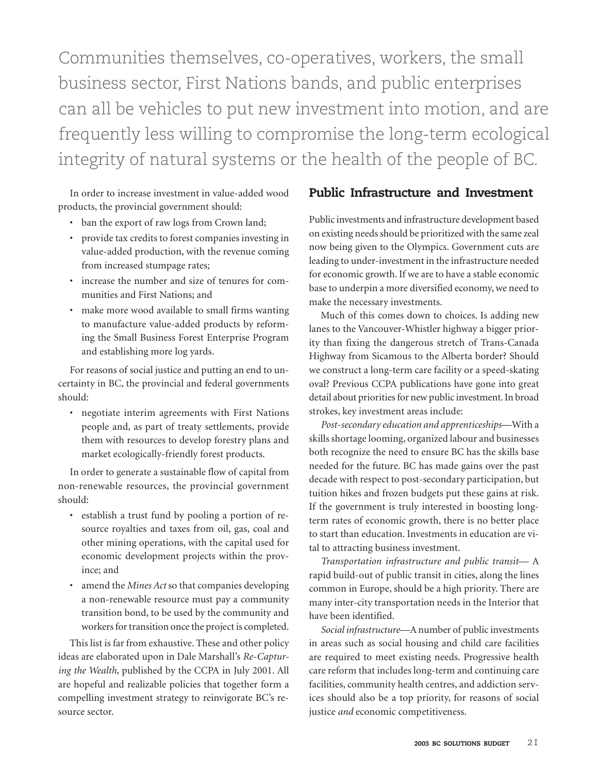Communities themselves, co-operatives, workers, the small business sector, First Nations bands, and public enterprises can all be vehicles to put new investment into motion, and are frequently less willing to compromise the long-term ecological integrity of natural systems or the health of the people of BC.

In order to increase investment in value-added wood products, the provincial government should:

- ban the export of raw logs from Crown land;
- provide tax credits to forest companies investing in value-added production, with the revenue coming from increased stumpage rates;
- increase the number and size of tenures for communities and First Nations; and
- make more wood available to small firms wanting to manufacture value-added products by reforming the Small Business Forest Enterprise Program and establishing more log yards.

For reasons of social justice and putting an end to uncertainty in BC, the provincial and federal governments should:

• negotiate interim agreements with First Nations people and, as part of treaty settlements, provide them with resources to develop forestry plans and market ecologically-friendly forest products.

In order to generate a sustainable flow of capital from non-renewable resources, the provincial government should:

- establish a trust fund by pooling a portion of resource royalties and taxes from oil, gas, coal and other mining operations, with the capital used for economic development projects within the province; and
- amend the *Mines Act* so that companies developing a non-renewable resource must pay a community transition bond, to be used by the community and workers for transition once the project is completed.

This list is far from exhaustive. These and other policy ideas are elaborated upon in Dale Marshall's *Re-Capturing the Wealth*, published by the CCPA in July 2001. All are hopeful and realizable policies that together form a compelling investment strategy to reinvigorate BC's resource sector.

#### **Public Infrastructure and Investment**

Public investments and infrastructure development based on existing needs should be prioritized with the same zeal now being given to the Olympics. Government cuts are leading to under-investment in the infrastructure needed for economic growth. If we are to have a stable economic base to underpin a more diversified economy, we need to make the necessary investments.

Much of this comes down to choices. Is adding new lanes to the Vancouver-Whistler highway a bigger priority than fixing the dangerous stretch of Trans-Canada Highway from Sicamous to the Alberta border? Should we construct a long-term care facility or a speed-skating oval? Previous CCPA publications have gone into great detail about priorities for new public investment. In broad strokes, key investment areas include:

*Post-secondary education and apprenticeships*—With a skills shortage looming, organized labour and businesses both recognize the need to ensure BC has the skills base needed for the future. BC has made gains over the past decade with respect to post-secondary participation, but tuition hikes and frozen budgets put these gains at risk. If the government is truly interested in boosting longterm rates of economic growth, there is no better place to start than education. Investments in education are vital to attracting business investment.

*Transportation infrastructure and public transit*— A rapid build-out of public transit in cities, along the lines common in Europe, should be a high priority. There are many inter-city transportation needs in the Interior that have been identified.

*Social infrastructure*—A number of public investments in areas such as social housing and child care facilities are required to meet existing needs. Progressive health care reform that includes long-term and continuing care facilities, community health centres, and addiction services should also be a top priority, for reasons of social justice *and* economic competitiveness.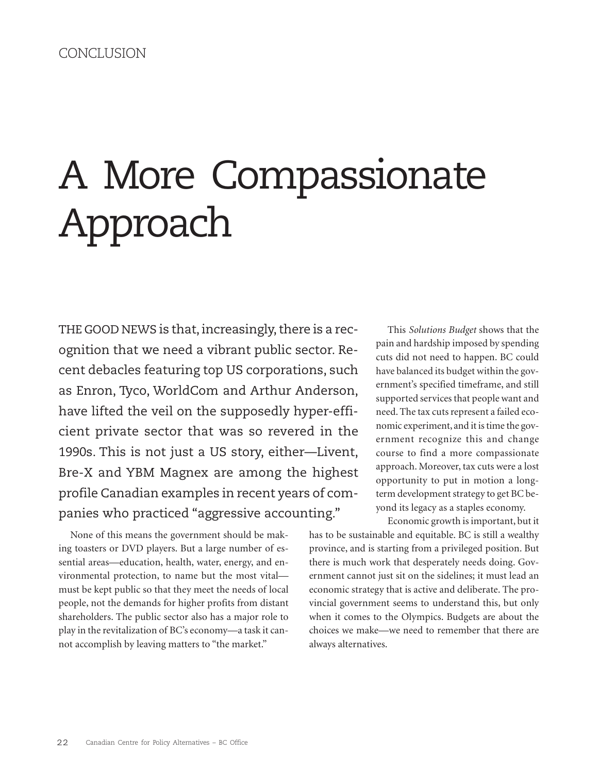# A More Compassionate Approach

THE GOOD NEWS is that, increasingly, there is a recognition that we need a vibrant public sector. Recent debacles featuring top US corporations, such as Enron, Tyco, WorldCom and Arthur Anderson, have lifted the veil on the supposedly hyper-efficient private sector that was so revered in the 1990s. This is not just a US story, either—Livent, Bre-X and YBM Magnex are among the highest profile Canadian examples in recent years of companies who practiced "aggressive accounting."

None of this means the government should be making toasters or DVD players. But a large number of essential areas—education, health, water, energy, and environmental protection, to name but the most vital must be kept public so that they meet the needs of local people, not the demands for higher profits from distant shareholders. The public sector also has a major role to play in the revitalization of BC's economy—a task it cannot accomplish by leaving matters to "the market."

This *Solutions Budget* shows that the pain and hardship imposed by spending cuts did not need to happen. BC could have balanced its budget within the government's specified timeframe, and still supported services that people want and need. The tax cuts represent a failed economic experiment, and it is time the government recognize this and change course to find a more compassionate approach. Moreover, tax cuts were a lost opportunity to put in motion a longterm development strategy to get BC beyond its legacy as a staples economy.

Economic growth is important, but it has to be sustainable and equitable. BC is still a wealthy province, and is starting from a privileged position. But there is much work that desperately needs doing. Government cannot just sit on the sidelines; it must lead an economic strategy that is active and deliberate. The provincial government seems to understand this, but only when it comes to the Olympics. Budgets are about the choices we make—we need to remember that there are always alternatives.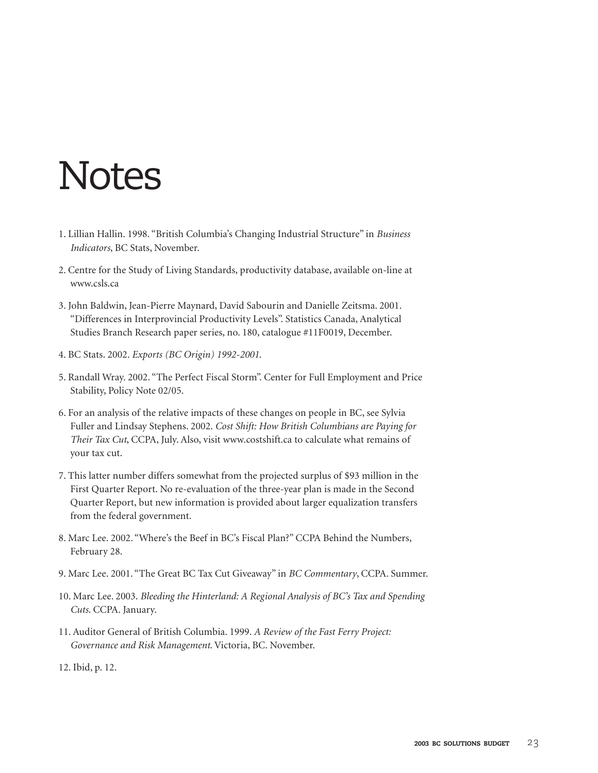### **Notes**

- 1. Lillian Hallin. 1998. "British Columbia's Changing Industrial Structure" in *Business Indicators*, BC Stats, November.
- 2. Centre for the Study of Living Standards, productivity database, available on-line at www.csls.ca
- 3. John Baldwin, Jean-Pierre Maynard, David Sabourin and Danielle Zeitsma. 2001. "Differences in Interprovincial Productivity Levels". Statistics Canada, Analytical Studies Branch Research paper series, no. 180, catalogue #11F0019, December.
- 4. BC Stats. 2002. *Exports (BC Origin) 1992-2001*.
- 5. Randall Wray. 2002. "The Perfect Fiscal Storm". Center for Full Employment and Price Stability, Policy Note 02/05.
- 6. For an analysis of the relative impacts of these changes on people in BC, see Sylvia Fuller and Lindsay Stephens. 2002. *Cost Shift: How British Columbians are Paying for Their Tax Cut*, CCPA, July. Also, visit www.costshift.ca to calculate what remains of your tax cut.
- 7. This latter number differs somewhat from the projected surplus of \$93 million in the First Quarter Report. No re-evaluation of the three-year plan is made in the Second Quarter Report, but new information is provided about larger equalization transfers from the federal government.
- 8. Marc Lee. 2002. "Where's the Beef in BC's Fiscal Plan?" CCPA Behind the Numbers, February 28.
- 9. Marc Lee. 2001. "The Great BC Tax Cut Giveaway" in *BC Commentary*, CCPA. Summer.
- 10. Marc Lee. 2003. *Bleeding the Hinterland: A Regional Analysis of BC's Tax and Spending Cuts*. CCPA. January.
- 11. Auditor General of British Columbia. 1999. *A Review of the Fast Ferry Project: Governance and Risk Management*. Victoria, BC. November.
- 12. Ibid, p. 12.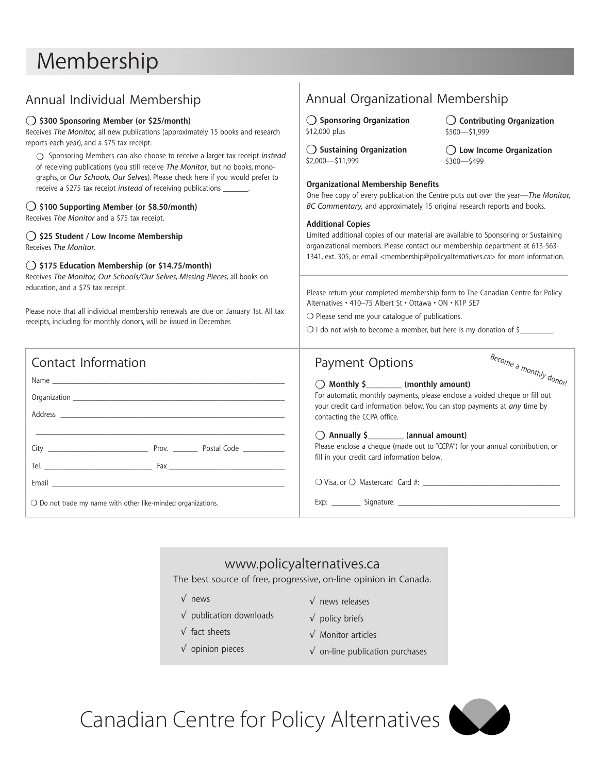### Membership

#### Annual Individual Membership ❍ **\$300 Sponsoring Member (or \$25/month)** Receives *The Monitor,* all new publications (approximately 15 books and research reports each year), and a \$75 tax receipt. ❍ Sponsoring Members can also choose to receive a larger tax receipt *instead* of receiving publications (you still receive *The Monitor*, but no books, monographs, or *Our Schools, Our Selves*). Please check here if you would prefer to receive a \$275 tax receipt *instead of* receiving publications \_\_\_\_\_\_. ❍ **\$100 Supporting Member (or \$8.50/month)** Receives *The Monitor* and a \$75 tax receipt. ❍ **\$25 Student / Low Income Membership** Receives *The Monitor*. ❍ **\$175 Education Membership (or \$14.75/month)** Receives *The Monitor, Our Schools/Our Selves, Missing Pieces,* all books on education, and a \$75 tax receipt. Please note that all individual membership renewals are due on January 1st. All tax receipts, including for monthly donors, will be issued in December. Annual Organizational Membership ❍ **Sponsoring Organization** \$12,000 plus ❍ **Sustaining Organization** \$2,000—\$11,999 ❍ **Contributing Organization** \$500—\$1,999 ❍ **Low Income Organization** \$300—\$499 **Organizational Membership Benefits** One free copy of every publication the Centre puts out over the year—*The Monitor, BC Commentary,* and approximately 15 original research reports and books. **Additional Copies** Limited additional copies of our material are available to Sponsoring or Sustaining organizational members. Please contact our membership department at 613-563- 1341, ext. 305, or email <membership@policyalternatives.ca> for more information. Contact Information Name $\_\_$ Organization \_\_\_\_\_\_\_\_\_\_\_\_\_\_\_\_\_\_\_\_\_\_\_\_\_\_\_\_\_\_\_\_\_\_\_\_\_\_\_\_\_\_\_\_\_\_\_\_\_\_\_ Address \_\_\_\_\_\_\_\_\_\_\_\_\_\_\_\_\_\_\_\_\_\_\_\_\_\_\_\_\_\_\_\_\_\_\_\_\_\_\_\_\_\_\_\_\_\_\_\_\_\_\_\_\_\_ \_\_\_\_\_\_\_\_\_\_\_\_\_\_\_\_\_\_\_\_\_\_\_\_\_\_\_\_\_\_\_\_\_\_\_\_\_\_\_\_\_\_\_\_\_\_\_\_\_\_\_\_\_\_\_\_\_\_\_\_ City \_\_\_\_\_\_\_\_\_\_\_\_\_\_\_\_\_\_\_\_\_\_\_\_ Prov. \_\_\_\_\_\_ Postal Code \_\_\_\_\_\_\_\_\_\_ Tel.  $\Box$ Email \_\_\_\_\_\_\_\_\_\_\_\_\_\_\_\_\_\_\_\_\_\_\_\_\_\_\_\_\_\_\_\_\_\_\_\_\_\_\_\_\_\_\_\_\_\_\_\_\_\_\_\_\_\_\_\_ Payment Options ❍ **Monthly \$\_\_\_\_\_\_\_\_ (monthly amount)** For automatic monthly payments, please enclose a voided cheque or fill out your credit card information below. You can stop payments at *any* time by contacting the CCPA office. ❍ **Annually \$\_\_\_\_\_\_\_\_ (annual amount)** Please enclose a cheque (made out to "CCPA") for your annual contribution, or fill in your credit card information below. ❍ Visa, or ❍ Mastercard Card #: \_\_\_\_\_\_\_\_\_\_\_\_\_\_\_\_\_\_\_\_\_\_\_\_\_\_\_\_\_\_\_\_\_  $Exp:$   $\begin{array}{|l|}\n \text{Exp:} & \text{Signature:} \end{array}$ Please return your completed membership form to The Canadian Centre for Policy Alternatives • 410–75 Albert St • Ottawa • ON • K1P 5E7 ○ Do not trade my name with other like-minded organizations. ❍ Please send me your catalogue of publications.  $\bigcirc$  I do not wish to become a member, but here is my donation of \$ Become a monthly donor!

#### www.policyalternatives.ca

The best source of free, progressive, on-line opinion in Canada.

√ news

- √ news releases
- $\sqrt{\phantom{a}}$  publication downloads
- √ fact sheets
- √ policy briefs

√ Monitor articles

- 
- √ opinion pieces
- $\sqrt{\ }$  on-line publication purchases

Canadian Centre for Policy Alternatives